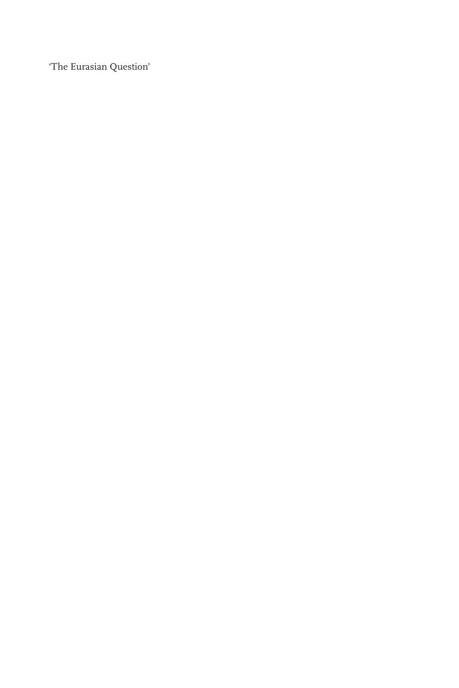'The Eurasian Question'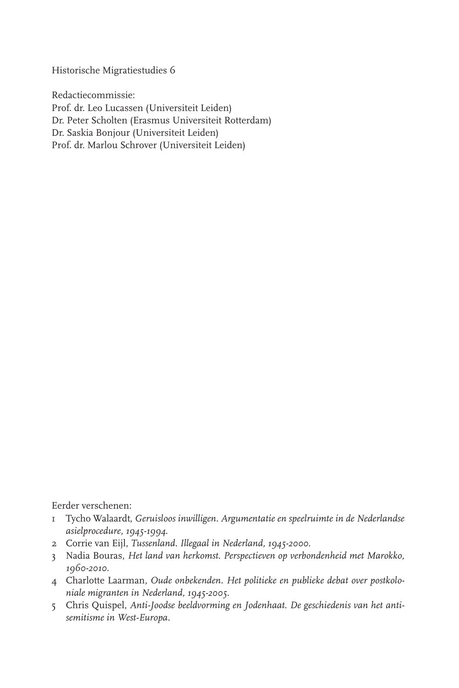Historische Migratiestudies 6

Redactiecommissie: Prof. dr. Leo Lucassen (Universiteit Leiden) Dr. Peter Scholten (Erasmus Universiteit Rotterdam) Dr. Saskia Bonjour (Universiteit Leiden) Prof. dr. Marlou Schrover (Universiteit Leiden)

Eerder verschenen:

- 1 Tycho Walaardt, *Geruisloos inwilligen. Argumentatie en speelruimte in de Nederlandse asielprocedure, 1945-1994*.
- 2 Corrie van Eijl, *Tussenland. Illegaal in Nederland, 1945-2000*.
- 3 Nadia Bouras, *Het land van herkomst. Perspectieven op verbondenheid met Marokko, 1960-2010.*
- 4Charlotte Laarman*, Oude onbekenden. Het politieke en publieke debat over postkoloniale migranten in Nederland, 1945-2005.*
- 5Chris Quispel, *Anti-Joodse beeldvorming en Jodenhaat. De geschiedenis van het antisemitisme in West-Europa.*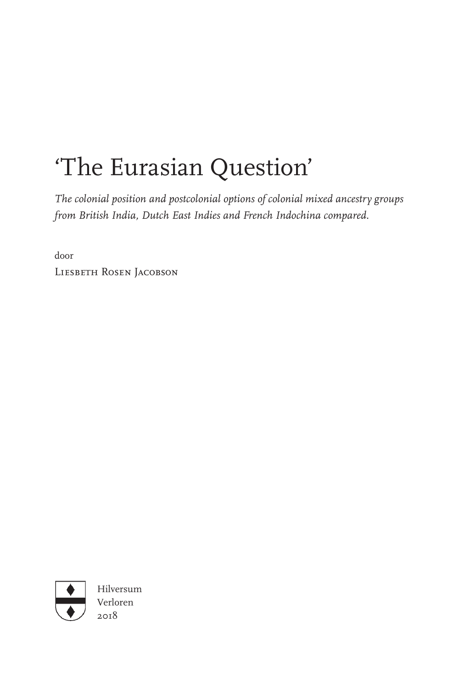## 'The Eurasian Question'

*The colonial position and postcolonial options of colonial mixed ancestry groups from British India, Dutch East Indies and French Indochina compared.*

door

Liesbeth Rosen Jacobson



Hilversum Verloren 2018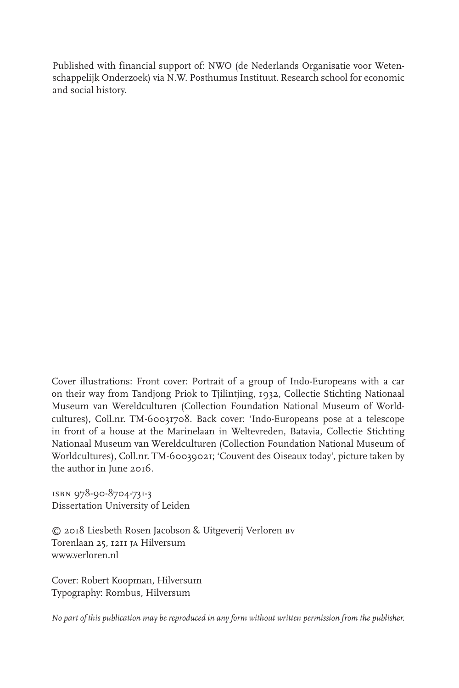Published with financial support of: NWO (de Nederlands Organisatie voor Wetenschappelijk Onderzoek) via N.W. Posthumus Instituut. Research school for economic and social history.

Cover illustrations: Front cover: Portrait of a group of Indo-Europeans with a car on their way from Tandjong Priok to Tjilintjing, 1932, Collectie Stichting Nationaal Mu seum van Wereldculturen (Collection Foundation National Museum of Worldcultures), Coll.nr. TM-60031708. Back cover: 'Indo-Europeans pose at a telescope in front of a house at the Marinelaan in Weltevreden, Batavia, Collectie Stichting Natio naal Museum van Wereldculturen (Collection Foundation National Museum of Worldcultures), Coll.nr. TM-60039021; 'Couvent des Oiseaux today', picture taken by the author in June 2016.

isbn 978-90-8704-731-3 Dissertation University of Leiden

© 2018 Liesbeth Rosen Jacobson & Uitgeverij Verloren bv Torenlaan 25, 1211 ja Hilversum www.verloren.nl

Cover: Robert Koopman, Hilversum Typography: Rombus, Hilversum

*No part of this publication may be reproduced in any form without written permission from the publisher.*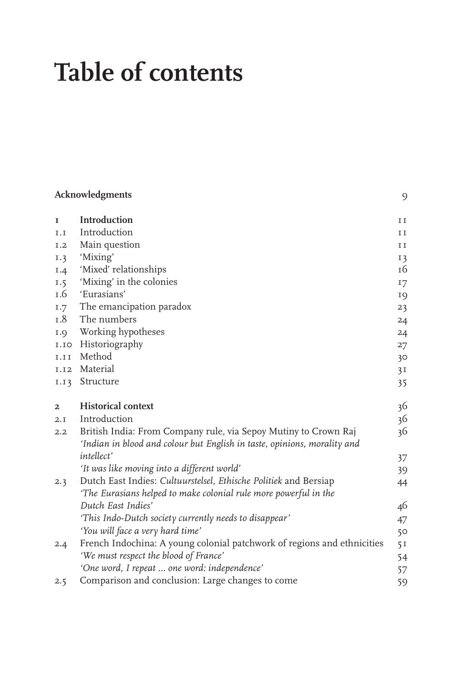# **Table of contents**

|                | Acknowledgments                                                                                                                             |                |  |
|----------------|---------------------------------------------------------------------------------------------------------------------------------------------|----------------|--|
| $\mathbf I$    | Introduction                                                                                                                                | $\rm I\,I$     |  |
| I.I            | Introduction                                                                                                                                | $\rm I\ I$     |  |
| I.2            | Main question                                                                                                                               | II             |  |
| I.3            | 'Mixing'                                                                                                                                    | $I$ 3          |  |
| 1.4            | 'Mixed' relationships                                                                                                                       | 16             |  |
| 1.5            | 'Mixing' in the colonies                                                                                                                    | 17             |  |
| I.6            | 'Eurasians'                                                                                                                                 | 19             |  |
| I.7            | The emancipation paradox                                                                                                                    | 23             |  |
| 1.8            | The numbers                                                                                                                                 | 24             |  |
| I.9            | Working hypotheses                                                                                                                          | 24             |  |
| I.IO           | Historiography                                                                                                                              | 27             |  |
| I.II           | Method                                                                                                                                      | 30             |  |
| <b>I.I2</b>    | Material                                                                                                                                    | 3I             |  |
| I.I3           | Structure                                                                                                                                   | 35             |  |
| $\overline{a}$ | <b>Historical context</b>                                                                                                                   | 36             |  |
| 2.1            | Introduction                                                                                                                                | 36             |  |
| 2.2            | British India: From Company rule, via Sepoy Mutiny to Crown Raj<br>'Indian in blood and colour but English in taste, opinions, morality and | 36             |  |
|                | <i>intellect'</i>                                                                                                                           | 37             |  |
|                | 'It was like moving into a different world'                                                                                                 | 39             |  |
| 2.3            | Dutch East Indies: Cultuurstelsel, Ethische Politiek and Bersiap<br>'The Eurasians helped to make colonial rule more powerful in the        | 44             |  |
|                | Dutch East Indies'                                                                                                                          | 46             |  |
|                | 'This Indo-Dutch society currently needs to disappear'                                                                                      | 47             |  |
|                | 'You will face a very hard time'                                                                                                            | 50             |  |
| 2.4            | French Indochina: A young colonial patchwork of regions and ethnicities                                                                     | 5 <sub>I</sub> |  |
|                | 'We must respect the blood of France'                                                                                                       | 54             |  |
|                | 'One word, I repeat  one word: independence'                                                                                                | 57             |  |
| 2.5            | Comparison and conclusion: Large changes to come                                                                                            | 59             |  |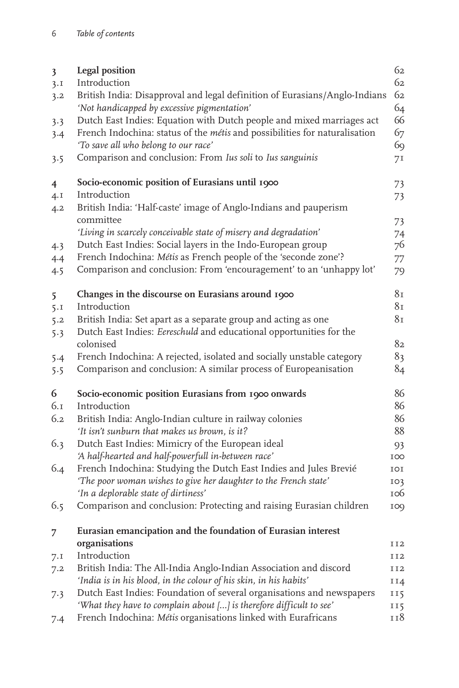| $\overline{\mathbf{3}}$<br>3.1<br>3.2 | Legal position<br>Introduction<br>British India: Disapproval and legal definition of Eurasians/Anglo-Indians<br>'Not handicapped by excessive pigmentation'                                 | 62<br>62<br>62<br>64 |
|---------------------------------------|---------------------------------------------------------------------------------------------------------------------------------------------------------------------------------------------|----------------------|
| 3.3<br>3.4                            | Dutch East Indies: Equation with Dutch people and mixed marriages act<br>French Indochina: status of the métis and possibilities for naturalisation<br>'To save all who belong to our race' | 66<br>67<br>69       |
| 3.5                                   | Comparison and conclusion: From Ius soli to Ius sanguinis                                                                                                                                   | 71                   |
| $\overline{4}$                        | Socio-economic position of Eurasians until 1900                                                                                                                                             | 73                   |
| 4.1                                   | Introduction                                                                                                                                                                                | 73                   |
| 4.2                                   | British India: 'Half-caste' image of Anglo-Indians and pauperism<br>committee                                                                                                               | 73                   |
|                                       | 'Living in scarcely conceivable state of misery and degradation'                                                                                                                            | 74                   |
| 4.3                                   | Dutch East Indies: Social layers in the Indo-European group                                                                                                                                 | 76                   |
| 4.4                                   | French Indochina: Métis as French people of the 'seconde zone'?                                                                                                                             | 77                   |
| 4.5                                   | Comparison and conclusion: From 'encouragement' to an 'unhappy lot'                                                                                                                         | 79                   |
| 5                                     | Changes in the discourse on Eurasians around 1900                                                                                                                                           | 8 <sub>I</sub>       |
| 5.1                                   | Introduction                                                                                                                                                                                | 81                   |
| 5.2                                   | British India: Set apart as a separate group and acting as one                                                                                                                              | 8 <sub>I</sub>       |
| 5.3                                   | Dutch East Indies: Eereschuld and educational opportunities for the<br>colonised                                                                                                            | 82                   |
| 5.4                                   | French Indochina: A rejected, isolated and socially unstable category                                                                                                                       | 83                   |
| 5.5                                   | Comparison and conclusion: A similar process of Europeanisation                                                                                                                             | 84                   |
| 6                                     | Socio-economic position Eurasians from 1900 onwards                                                                                                                                         | 86                   |
| 6.1                                   | Introduction                                                                                                                                                                                | 86                   |
| 6.2                                   | British India: Anglo-Indian culture in railway colonies                                                                                                                                     | 86                   |
|                                       | 'It isn't sunburn that makes us brown, is it?                                                                                                                                               | 88                   |
| 6.3                                   | Dutch East Indies: Mimicry of the European ideal                                                                                                                                            | 93                   |
|                                       | 'A half-hearted and half-powerfull in-between race'                                                                                                                                         | IOO                  |
| 6.4                                   | French Indochina: Studying the Dutch East Indies and Jules Brevié                                                                                                                           | IOI                  |
|                                       | 'The poor woman wishes to give her daughter to the French state'                                                                                                                            | 103                  |
|                                       | 'In a deplorable state of dirtiness'                                                                                                                                                        | 106                  |
| 6.5                                   | Comparison and conclusion: Protecting and raising Eurasian children                                                                                                                         | 109                  |
| 7                                     | Eurasian emancipation and the foundation of Eurasian interest                                                                                                                               |                      |
|                                       | organisations                                                                                                                                                                               | II2                  |
| 7.1                                   | Introduction                                                                                                                                                                                | II2                  |
| 7.2                                   | British India: The All-India Anglo-Indian Association and discord                                                                                                                           | <b>II2</b>           |
|                                       | 'India is in his blood, in the colour of his skin, in his habits'                                                                                                                           | II4                  |
| 7.3                                   | Dutch East Indies: Foundation of several organisations and newspapers<br>'What they have to complain about [] is therefore difficult to see'                                                | 115                  |
|                                       | French Indochina: Métis organisations linked with Eurafricans                                                                                                                               | 115<br>118           |
| 7.4                                   |                                                                                                                                                                                             |                      |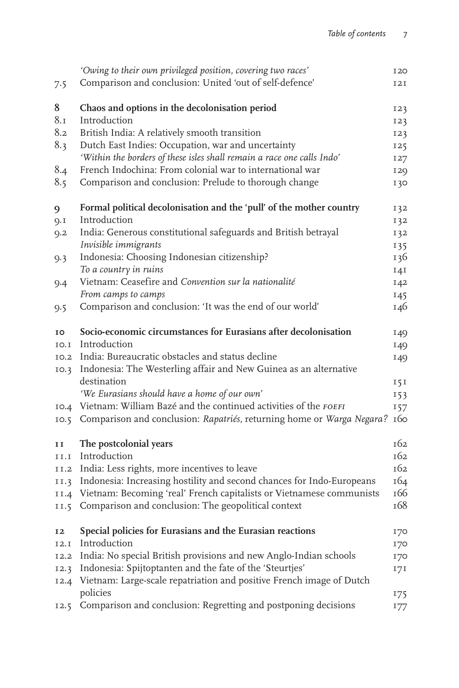|      | 'Owing to their own privileged position, covering two races'           | <b>I20</b> |
|------|------------------------------------------------------------------------|------------|
| 7.5  | Comparison and conclusion: United 'out of self-defence'                | 12I        |
|      |                                                                        |            |
| 8    | Chaos and options in the decolonisation period                         | 123        |
| 8.1  | Introduction                                                           | 123        |
| 8.2  | British India: A relatively smooth transition                          | 123        |
| 8.3  | Dutch East Indies: Occupation, war and uncertainty                     | 125        |
|      | 'Within the borders of these isles shall remain a race one calls Indo' | 127        |
| 8.4  | French Indochina: From colonial war to international war               | <b>129</b> |
| 8.5  | Comparison and conclusion: Prelude to thorough change                  | 130        |
| 9    | Formal political decolonisation and the 'pull' of the mother country   | 132        |
| 9.1  | Introduction                                                           | 132        |
| 9.2  | India: Generous constitutional safeguards and British betrayal         | 132        |
|      | Invisible immigrants                                                   | 135        |
| 9.3  | Indonesia: Choosing Indonesian citizenship?                            | 136        |
|      | To a country in ruins                                                  | 141        |
| 9.4  | Vietnam: Ceasefire and Convention sur la nationalité                   | 142        |
|      | From camps to camps                                                    | 145        |
| 9.5  | Comparison and conclusion: 'It was the end of our world'               | 146        |
| 10   | Socio-economic circumstances for Eurasians after decolonisation        | 149        |
| 10.I | Introduction                                                           | 149        |
|      | 10.2 India: Bureaucratic obstacles and status decline                  | 149        |
| IO.3 | Indonesia: The Westerling affair and New Guinea as an alternative      |            |
|      | destination                                                            | 151        |
|      | 'We Eurasians should have a home of our own'                           | 153        |
|      | 10.4 Vietnam: William Bazé and the continued activities of the FOEFI   | 157        |
| IO.5 | Comparison and conclusion: Rapatriés, returning home or Warga Negara?  | 160        |
| 11   | The postcolonial years                                                 | 162        |
| II.I | Introduction                                                           | 162        |
| II.2 | India: Less rights, more incentives to leave                           | 162        |
| II.3 | Indonesia: Increasing hostility and second chances for Indo-Europeans  | 164        |
| II.4 | Vietnam: Becoming 'real' French capitalists or Vietnamese communists   | 166        |
| II.5 | Comparison and conclusion: The geopolitical context                    | 168        |
| 12   | Special policies for Eurasians and the Eurasian reactions              | 170        |
| I2.I | Introduction                                                           | 170        |
| 12.2 | India: No special British provisions and new Anglo-Indian schools      | 170        |
| I2.3 | Indonesia: Spijtoptanten and the fate of the 'Steurtjes'               | 171        |
| 12.4 | Vietnam: Large-scale repatriation and positive French image of Dutch   |            |
|      | policies                                                               | 175        |
| 12.5 | Comparison and conclusion: Regretting and postponing decisions         | 177        |
|      |                                                                        |            |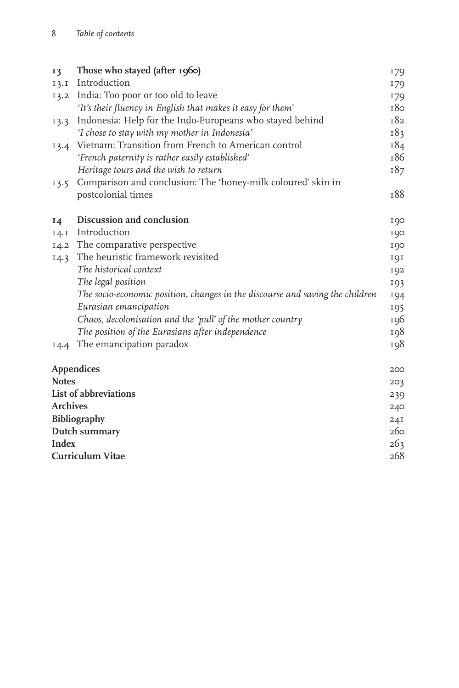| I3      | Those who stayed (after 1960)                                                 | 179 |  |
|---------|-------------------------------------------------------------------------------|-----|--|
| $I$ 3.I | Introduction                                                                  | 179 |  |
|         | 13.2 India: Too poor or too old to leave                                      | 179 |  |
|         | 'It's their fluency in English that makes it easy for them'                   | 180 |  |
| 13.3    | Indonesia: Help for the Indo-Europeans who stayed behind                      | т82 |  |
|         | 'I chose to stay with my mother in Indonesia'                                 | 183 |  |
| 13.4    | Vietnam: Transition from French to American control                           | 184 |  |
|         | 'French paternity is rather easily established'                               | 186 |  |
|         | Heritage tours and the wish to return                                         | 187 |  |
| 13.5    | Comparison and conclusion: The 'honey-milk coloured' skin in                  |     |  |
|         | postcolonial times                                                            | 188 |  |
| 14      | Discussion and conclusion                                                     | 190 |  |
| I4.1    | Introduction                                                                  | 190 |  |
| $I$ 4.2 | The comparative perspective                                                   | 190 |  |
| 14.3    | The heuristic framework revisited                                             | 191 |  |
|         | The historical context                                                        | 192 |  |
|         | The legal position                                                            | 193 |  |
|         | The socio-economic position, changes in the discourse and saving the children | 194 |  |
|         | Eurasian emancipation                                                         | 195 |  |
|         | Chaos, decolonisation and the 'pull' of the mother country                    | 196 |  |
|         | The position of the Eurasians after independence                              | 198 |  |
| 14.4    | The emancipation paradox                                                      | 198 |  |
|         | <b>Appendices</b>                                                             |     |  |
|         | <b>Notes</b>                                                                  |     |  |
|         | List of abbreviations                                                         | 239 |  |
|         | <b>Archives</b><br>Bibliography                                               |     |  |
|         |                                                                               |     |  |
|         | Dutch summary                                                                 |     |  |
|         | <b>Index</b>                                                                  |     |  |
|         | <b>Curriculum Vitae</b>                                                       |     |  |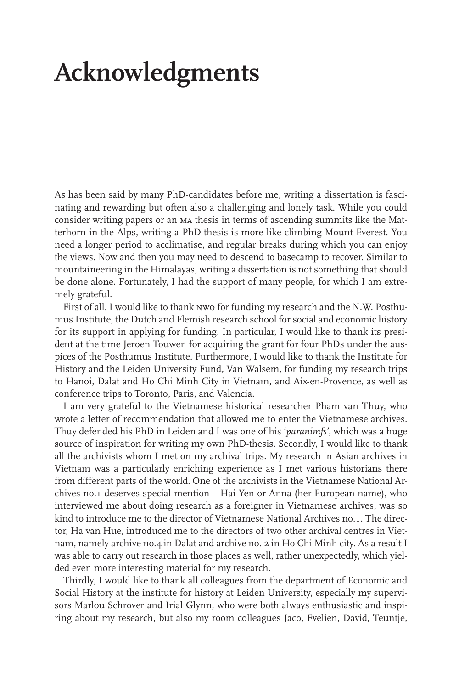### **Acknowledgments**

As has been said by many PhD-candidates before me, writing a dissertation is fascinating and rewarding but often also a challenging and lonely task. While you could consider writing papers or an ma thesis in terms of ascending summits like the Matterhorn in the Alps, writing a PhD-thesis is more like climbing Mount Everest. You need a longer period to acclimatise, and regular breaks during which you can enjoy the views. Now and then you may need to descend to basecamp to recover. Similar to mountaineering in the Himalayas, writing a dissertation is not something that should be done alone. Fortunately, I had the support of many people, for which I am extremely grateful.

First of all, I would like to thank nwo for funding my research and the N.W. Posthumus Institute, the Dutch and Flemish research school for social and economic history for its support in applying for funding. In particular, I would like to thank its president at the time Jeroen Touwen for acquiring the grant for four PhDs under the auspices of the Posthumus Institute. Furthermore, I would like to thank the Institute for History and the Leiden University Fund, Van Walsem, for funding my research trips to Hanoi, Dalat and Ho Chi Minh City in Vietnam, and Aix-en-Provence, as well as conference trips to Toronto, Paris, and Valencia.

I am very grateful to the Vietnamese historical researcher Pham van Thuy, who wrote a letter of recommendation that allowed me to enter the Vietnamese archives. Thuy defended his PhD in Leiden and I was one of his '*paranimfs'*, which was a huge source of inspiration for writing my own PhD-thesis. Secondly, I would like to thank all the archivists whom I met on my archival trips. My research in Asian archives in Vietnam was a particularly enriching experience as I met various historians there from different parts of the world. One of the archivists in the Vietnamese National Archives no.1 deserves special mention – Hai Yen or Anna (her European name), who interviewed me about doing research as a foreigner in Vietnamese archives, was so kind to introduce me to the director of Vietnamese National Archives no.1. The director, Ha van Hue, introduced me to the directors of two other archival centres in Vietnam, namely archive no.4 in Dalat and archive no. 2 in Ho Chi Minh city. As a result I was able to carry out research in those places as well, rather unexpectedly, which yielded even more interesting material for my research.

Thirdly, I would like to thank all colleagues from the department of Economic and Social History at the institute for history at Leiden University, especially my supervisors Marlou Schrover and Irial Glynn, who were both always enthusiastic and inspiring about my research, but also my room colleagues Jaco, Evelien, David, Teuntje,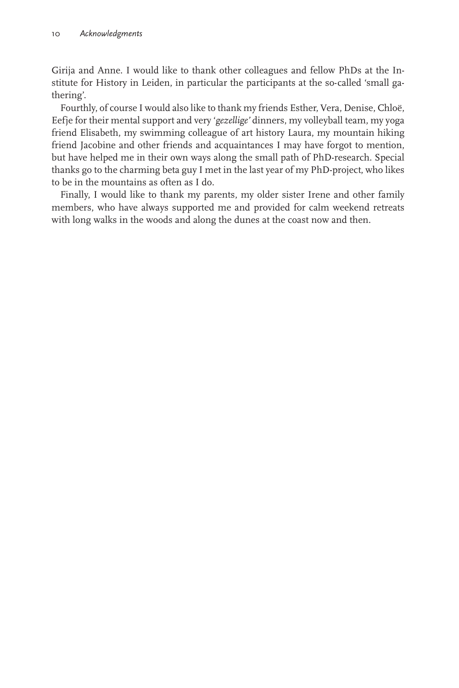Girija and Anne. I would like to thank other colleagues and fellow PhDs at the Institute for History in Leiden, in particular the participants at the so-called 'small gathering'.

Fourthly, of course I would also like to thank my friends Esther, Vera, Denise, Chloë, Eefje for their mental support and very '*gezellige'* dinners, my volleyball team, my yoga friend Elisabeth, my swimming colleague of art history Laura, my mountain hiking friend Jacobine and other friends and acquaintances I may have forgot to mention, but have helped me in their own ways along the small path of PhD-research. Special thanks go to the charming beta guy I met in the last year of my PhD-project, who likes to be in the mountains as often as I do.

Finally, I would like to thank my parents, my older sister Irene and other family members, who have always supported me and provided for calm weekend retreats with long walks in the woods and along the dunes at the coast now and then.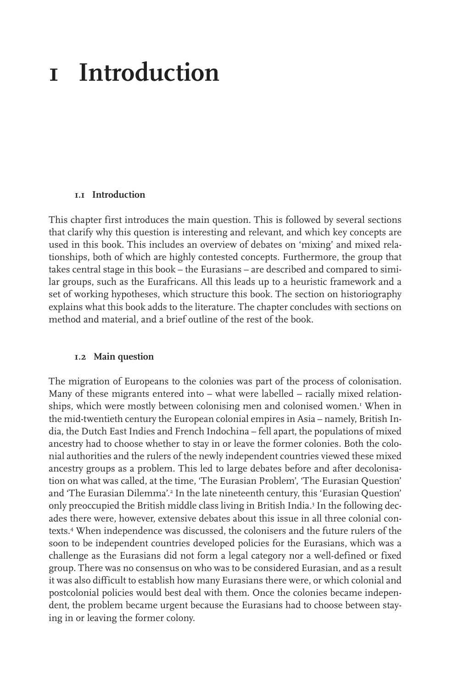### **1 Introduction**

#### **1.1 Introduction**

This chapter first introduces the main question. This is followed by several sections that clarify why this question is interesting and relevant, and which key concepts are used in this book. This includes an overview of debates on 'mixing' and mixed relationships, both of which are highly contested concepts. Furthermore, the group that takes central stage in this book – the Eurasians – are described and compared to similar groups, such as the Eurafricans. All this leads up to a heuristic framework and a set of working hypotheses, which structure this book. The section on historiography explains what this book adds to the literature. The chapter concludes with sections on method and material, and a brief outline of the rest of the book.

#### **1.2 Main question**

The migration of Europeans to the colonies was part of the process of colonisation. Many of these migrants entered into – what were labelled – racially mixed relationships, which were mostly between colonising men and colonised women.1 When in the mid-twentieth century the European colonial empires in Asia – namely, British India, the Dutch East Indies and French Indochina – fell apart, the populations of mixed ancestry had to choose whether to stay in or leave the former colonies. Both the colonial authorities and the rulers of the newly independent countries viewed these mixed ancestry groups as a problem. This led to large debates before and after decolonisation on what was called, at the time, 'The Eurasian Problem', 'The Eurasian Question' and 'The Eurasian Dilemma'.2 In the late nineteenth century, this 'Eurasian Question' only preoccupied the British middle class living in British India.<sup>3</sup> In the following decades there were, however, extensive debates about this issue in all three colonial contexts.4 When independence was discussed, the colonisers and the future rulers of the soon to be independent countries developed policies for the Eurasians, which was a challenge as the Eurasians did not form a legal category nor a well-defined or fixed group. There was no consensus on who was to be considered Eurasian, and as a result it was also difficult to establish how many Eurasians there were, or which colonial and postcolonial policies would best deal with them. Once the colonies became independent, the problem became urgent because the Eurasians had to choose between staying in or leaving the former colony.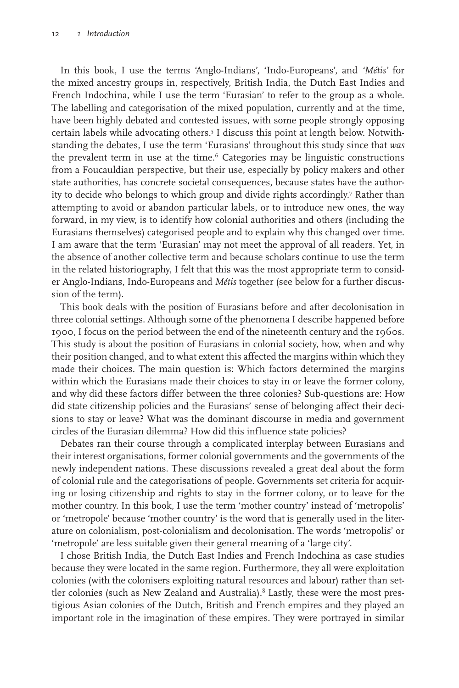In this book, I use the terms 'Anglo-Indians', 'Indo-Europeans', and *'Métis'* for the mixed ancestry groups in, respectively, British India, the Dutch East Indies and French Indochina, while I use the term 'Eurasian' to refer to the group as a whole. The labelling and categorisation of the mixed population, currently and at the time, have been highly debated and contested issues, with some people strongly opposing certain labels while advocating others.5 I discuss this point at length below. Notwithstanding the debates, I use the term 'Eurasians' throughout this study since that *was* the prevalent term in use at the time. $6$  Categories may be linguistic constructions from a Foucauldian perspective, but their use, especially by policy makers and other state authorities, has concrete societal consequences, because states have the authority to decide who belongs to which group and divide rights accordingly.7 Rather than attempting to avoid or abandon particular labels, or to introduce new ones, the way forward, in my view, is to identify how colonial authorities and others (including the Eurasians themselves) categorised people and to explain why this changed over time. I am aware that the term 'Eurasian' may not meet the approval of all readers. Yet, in the absence of another collective term and because scholars continue to use the term in the related historiography, I felt that this was the most appropriate term to consider Anglo-Indians, Indo-Europeans and *Métis* together (see below for a further discussion of the term).

This book deals with the position of Eurasians before and after decolonisation in three colonial settings. Although some of the phenomena I describe happened before 1900, I focus on the period between the end of the nineteenth century and the 1960s. This study is about the position of Eurasians in colonial society, how, when and why their position changed, and to what extent this affected the margins within which they made their choices. The main question is: Which factors determined the margins within which the Eurasians made their choices to stay in or leave the former colony, and why did these factors differ between the three colonies? Sub-questions are: How did state citizenship policies and the Eurasians' sense of belonging affect their decisions to stay or leave? What was the dominant discourse in media and government circles of the Eurasian dilemma? How did this influence state policies?

Debates ran their course through a complicated interplay between Eurasians and their interest organisations, former colonial governments and the governments of the newly independent nations. These discussions revealed a great deal about the form of colonial rule and the categorisations of people. Governments set criteria for acquiring or losing citizenship and rights to stay in the former colony, or to leave for the mother country. In this book, I use the term 'mother country' instead of 'metropolis' or 'metropole' because 'mother country' is the word that is generally used in the literature on colonialism, post-colonialism and decolonisation. The words 'metropolis' or 'metropole' are less suitable given their general meaning of a 'large city'.

I chose British India, the Dutch East Indies and French Indochina as case studies because they were located in the same region. Furthermore, they all were exploitation colonies (with the colonisers exploiting natural resources and labour) rather than settler colonies (such as New Zealand and Australia).<sup>8</sup> Lastly, these were the most prestigious Asian colonies of the Dutch, British and French empires and they played an important role in the imagination of these empires. They were portrayed in similar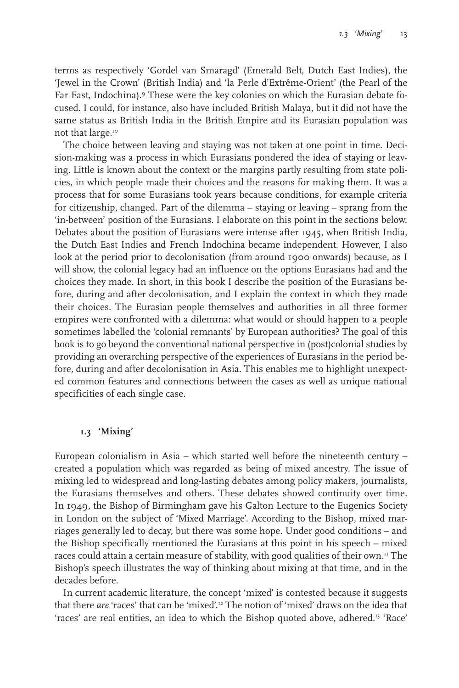terms as respectively 'Gordel van Smaragd' (Emerald Belt, Dutch East Indies), the 'Jewel in the Crown' (British India) and 'la Perle d'Extrême-Orient' (the Pearl of the Far East, Indochina).9 These were the key colonies on which the Eurasian debate focused. I could, for instance, also have included British Malaya, but it did not have the same status as British India in the British Empire and its Eurasian population was not that large.<sup>10</sup>

The choice between leaving and staying was not taken at one point in time. Decision-making was a process in which Eurasians pondered the idea of staying or leaving. Little is known about the context or the margins partly resulting from state policies, in which people made their choices and the reasons for making them. It was a process that for some Eurasians took years because conditions, for example criteria for citizenship, changed. Part of the dilemma – staying or leaving – sprang from the 'in-between' position of the Eurasians. I elaborate on this point in the sections below. Debates about the position of Eurasians were intense after 1945, when British India, the Dutch East Indies and French Indochina became independent. However, I also look at the period prior to decolonisation (from around 1900 onwards) because, as I will show, the colonial legacy had an influence on the options Eurasians had and the choices they made. In short, in this book I describe the position of the Eurasians before, during and after decolonisation, and I explain the context in which they made their choices. The Eurasian people themselves and authorities in all three former empires were confronted with a dilemma: what would or should happen to a people sometimes labelled the 'colonial remnants' by European authorities? The goal of this book is to go beyond the conventional national perspective in (post)colonial studies by providing an overarching perspective of the experiences of Eurasians in the period before, during and after decolonisation in Asia. This enables me to highlight unexpected common features and connections between the cases as well as unique national specificities of each single case.

### **1.3 'Mixing'**

European colonialism in Asia – which started well before the nineteenth century – created a population which was regarded as being of mixed ancestry. The issue of mixing led to widespread and long-lasting debates among policy makers, journalists, the Eurasians themselves and others. These debates showed continuity over time. In 1949, the Bishop of Birmingham gave his Galton Lecture to the Eugenics Society in London on the subject of 'Mixed Marriage'. According to the Bishop, mixed marriages generally led to decay, but there was some hope. Under good conditions – and the Bishop specifically mentioned the Eurasians at this point in his speech – mixed races could attain a certain measure of stability, with good qualities of their own.<sup>11</sup> The Bishop's speech illustrates the way of thinking about mixing at that time, and in the decades before.

In current academic literature, the concept 'mixed' is contested because it suggests that there *are* 'races' that can be 'mixed'.12 The notion of 'mixed' draws on the idea that 'races' are real entities, an idea to which the Bishop quoted above, adhered.<sup>13</sup> 'Race'